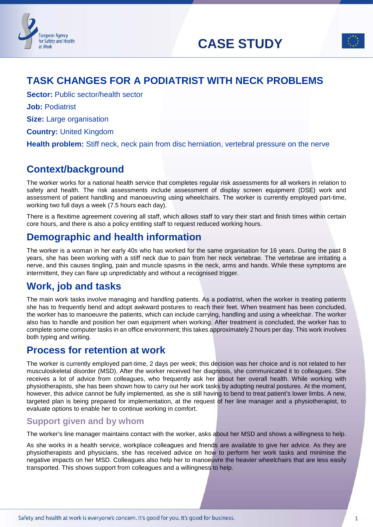# **CASE STUDY**



# **TASK CHANGES FOR A PODIATRIST WITH NECK PROBLEMS**

**Sector:** Public sector/health sector

**Job:** Podiatrist

**Size:** Large organisation

**Country:** United Kingdom

**Health problem:** Stiff neck, neck pain from disc herniation, vertebral pressure on the nerve

# **Context/background**

The worker works for a national health service that completes regular risk assessments for all workers in relation to safety and health. The risk assessments include assessment of display screen equipment (DSE) work and assessment of patient handling and manoeuvring using wheelchairs. The worker is currently employed part-time, working two full days a week (7.5 hours each day).

There is a flexitime agreement covering all staff, which allows staff to vary their start and finish times within certain core hours, and there is also a policy entitling staff to request reduced working hours.

# **Demographic and health information**

The worker is a woman in her early 40s who has worked for the same organisation for 16 years. During the past 8 years, she has been working with a stiff neck due to pain from her neck vertebrae. The vertebrae are irritating a nerve, and this causes tingling, pain and muscle spasms in the neck, arms and hands. While these symptoms are intermittent, they can flare up unpredictably and without a recognised trigger.

# **Work, job and tasks**

The main work tasks involve managing and handling patients. As a podiatrist, when the worker is treating patients she has to frequently bend and adopt awkward postures to reach their feet. When treatment has been concluded, the worker has to manoeuvre the patients, which can include carrying, handling and using a wheelchair. The worker also has to handle and position her own equipment when working. After treatment is concluded, the worker has to complete some computer tasks in an office environment; this takes approximately 2 hours per day. This work involves both typing and writing.

# **Process for retention at work**

The worker is currently employed part-time, 2 days per week; this decision was her choice and is not related to her musculoskeletal disorder (MSD). After the worker received her diagnosis, she communicated it to colleagues. She receives a lot of advice from colleagues, who frequently ask her about her overall health. While working with physiotherapists, she has been shown how to carry out her work tasks by adopting neutral postures. At the moment, however, this advice cannot be fully implemented, as she is still having to bend to treat patient's lower limbs. A new, targeted plan is being prepared for implementation, at the request of her line manager and a physiotherapist, to evaluate options to enable her to continue working in comfort.

### **Support given and by whom**

The worker's line manager maintains contact with the worker, asks about her MSD and shows a willingness to help.

As she works in a health service, workplace colleagues and friends are available to give her advice. As they are physiotherapists and physicians, she has received advice on how to perform her work tasks and minimise the negative impacts on her MSD. Colleagues also help her to manoeuvre the heavier wheelchairs that are less easily transported. This shows support from colleagues and a willingness to help.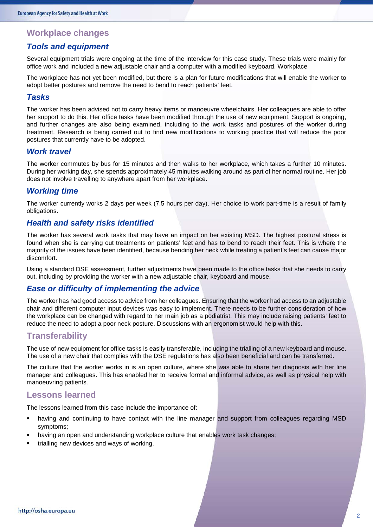### **Workplace changes**

#### *Tools and equipment*

Several equipment trials were ongoing at the time of the interview for this case study. These trials were mainly for office work and included a new adjustable chair and a computer with a modified keyboard. Workplace

The workplace has not yet been modified, but there is a plan for future modifications that will enable the worker to adopt better postures and remove the need to bend to reach patients' feet.

#### *Tasks*

The worker has been advised not to carry heavy items or manoeuvre wheelchairs. Her colleagues are able to offer her support to do this. Her office tasks have been modified through the use of new equipment. Support is ongoing, and further changes are also being examined, including to the work tasks and postures of the worker during treatment. Research is being carried out to find new modifications to working practice that will reduce the poor postures that currently have to be adopted.

#### *Work travel*

The worker commutes by bus for 15 minutes and then walks to her workplace, which takes a further 10 minutes. During her working day, she spends approximately 45 minutes walking around as part of her normal routine. Her job does not involve travelling to anywhere apart from her workplace.

#### *Working time*

The worker currently works 2 days per week (7.5 hours per day). Her choice to work part-time is a result of family obligations.

#### *Health and safety risks identified*

The worker has several work tasks that may have an impact on her existing MSD. The highest postural stress is found when she is carrying out treatments on patients' feet and has to bend to reach their feet. This is where the majority of the issues have been identified, because bending her neck while treating a patient's feet can cause major discomfort.

Using a standard DSE assessment, further adjustments have been made to the office tasks that she needs to carry out, including by providing the worker with a new adjustable chair, keyboard and mouse.

#### *Ease or difficulty of implementing the advice*

The worker has had good access to advice from her colleagues. Ensuring that the worker had access to an adjustable chair and different computer input devices was easy to implement. There needs to be further consideration of how the workplace can be changed with regard to her main job as a podiatrist. This may include raising patients' feet to reduce the need to adopt a poor neck posture. Discussions with an ergonomist would help with this.

#### **Transferability**

The use of new equipment for office tasks is easily transferable, including the trialling of a new keyboard and mouse. The use of a new chair that complies with the DSE regulations has also been beneficial and can be transferred.

The culture that the worker works in is an open culture, where she was able to share her diagnosis with her line manager and colleagues. This has enabled her to receive formal and informal advice, as well as physical help with manoeuvring patients.

#### **Lessons learned**

The lessons learned from this case include the importance of:

- having and continuing to have contact with the line manager and support from colleagues regarding MSD symptoms;
- having an open and understanding workplace culture that enables work task changes;
- trialling new devices and ways of working.